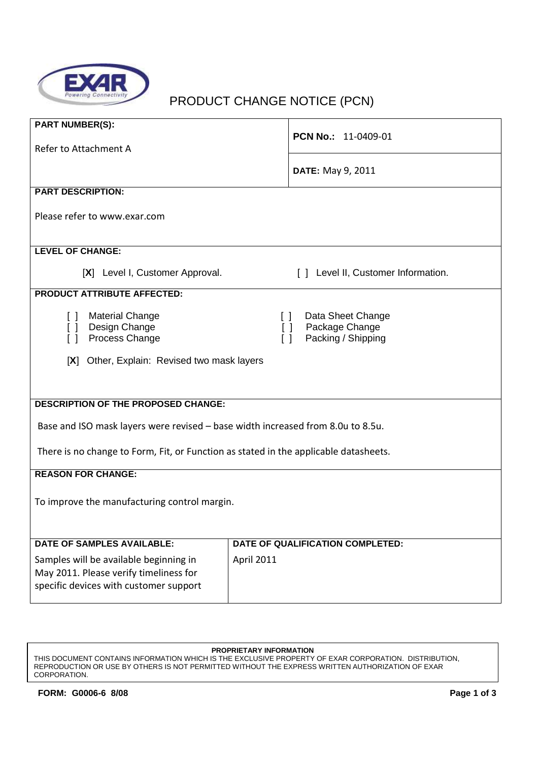

# PRODUCT CHANGE NOTICE (PCN)

| <b>PART NUMBER(S):</b>                                                               |                                     |  |
|--------------------------------------------------------------------------------------|-------------------------------------|--|
|                                                                                      | <b>PCN No.: 11-0409-01</b>          |  |
| Refer to Attachment A                                                                |                                     |  |
|                                                                                      | <b>DATE:</b> May 9, 2011            |  |
| <b>PART DESCRIPTION:</b>                                                             |                                     |  |
|                                                                                      |                                     |  |
| Please refer to www.exar.com                                                         |                                     |  |
|                                                                                      |                                     |  |
| <b>LEVEL OF CHANGE:</b>                                                              |                                     |  |
| [X] Level I, Customer Approval.                                                      | [ ] Level II, Customer Information. |  |
| <b>PRODUCT ATTRIBUTE AFFECTED:</b>                                                   |                                     |  |
| <b>Material Change</b><br>$\begin{bmatrix} \end{bmatrix}$                            | Data Sheet Change<br>$\Box$         |  |
| Design Change<br>$\Box$                                                              | Package Change<br>$\Box$            |  |
| Process Change<br>$\Box$                                                             | Packing / Shipping<br>$\Box$        |  |
|                                                                                      |                                     |  |
| [X] Other, Explain: Revised two mask layers                                          |                                     |  |
|                                                                                      |                                     |  |
|                                                                                      |                                     |  |
| <b>DESCRIPTION OF THE PROPOSED CHANGE:</b>                                           |                                     |  |
| Base and ISO mask layers were revised - base width increased from 8.0u to 8.5u.      |                                     |  |
|                                                                                      |                                     |  |
| There is no change to Form, Fit, or Function as stated in the applicable datasheets. |                                     |  |
| <b>REASON FOR CHANGE:</b>                                                            |                                     |  |
|                                                                                      |                                     |  |
| To improve the manufacturing control margin.                                         |                                     |  |
|                                                                                      |                                     |  |
|                                                                                      |                                     |  |
| <b>DATE OF SAMPLES AVAILABLE:</b>                                                    | DATE OF QUALIFICATION COMPLETED:    |  |
| Samples will be available beginning in                                               | <b>April 2011</b>                   |  |
| May 2011. Please verify timeliness for                                               |                                     |  |
| specific devices with customer support                                               |                                     |  |
|                                                                                      |                                     |  |

#### **PROPRIETARY INFORMATION**

THIS DOCUMENT CONTAINS INFORMATION WHICH IS THE EXCLUSIVE PROPERTY OF EXAR CORPORATION. DISTRIBUTION, REPRODUCTION OR USE BY OTHERS IS NOT PERMITTED WITHOUT THE EXPRESS WRITTEN AUTHORIZATION OF EXAR CORPORATION.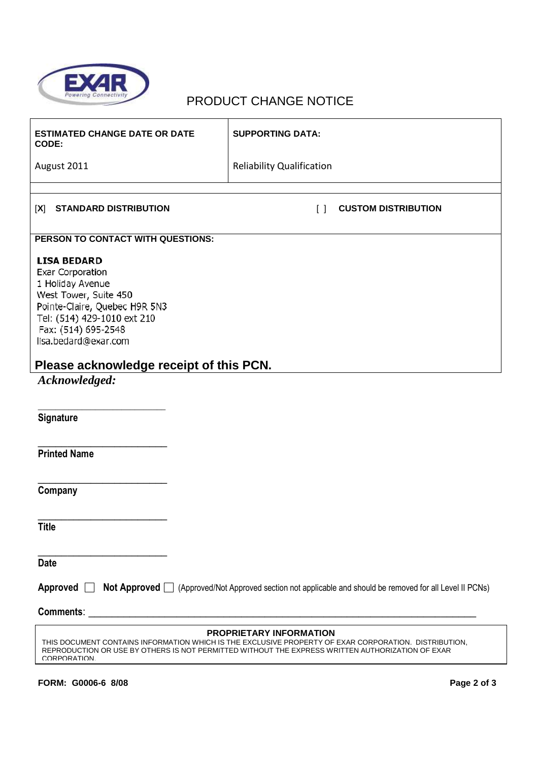

## PRODUCT CHANGE NOTICE

| <b>ESTIMATED CHANGE DATE OR DATE</b><br>CODE:                                                                                                                                                                                                        | <b>SUPPORTING DATA:</b>              |  |
|------------------------------------------------------------------------------------------------------------------------------------------------------------------------------------------------------------------------------------------------------|--------------------------------------|--|
| August 2011                                                                                                                                                                                                                                          | <b>Reliability Qualification</b>     |  |
|                                                                                                                                                                                                                                                      |                                      |  |
| <b>STANDARD DISTRIBUTION</b><br>[X]                                                                                                                                                                                                                  | <b>CUSTOM DISTRIBUTION</b><br>$\Box$ |  |
| PERSON TO CONTACT WITH QUESTIONS:                                                                                                                                                                                                                    |                                      |  |
| <b>LISA BEDARD</b><br><b>Exar Corporation</b><br>1 Holiday Avenue<br>West Tower, Suite 450<br>Pointe-Claire, Quebec H9R 5N3<br>Tel: (514) 429-1010 ext 210<br>Fax: (514) 695-2548<br>lisa.bedard@exar.com                                            |                                      |  |
| Please acknowledge receipt of this PCN.                                                                                                                                                                                                              |                                      |  |
| Acknowledged:<br>Signature                                                                                                                                                                                                                           |                                      |  |
| <b>Printed Name</b>                                                                                                                                                                                                                                  |                                      |  |
| Company                                                                                                                                                                                                                                              |                                      |  |
| <b>Title</b>                                                                                                                                                                                                                                         |                                      |  |
| <b>Date</b>                                                                                                                                                                                                                                          |                                      |  |
| Approved $\Box$<br>Not Approved □ (Approved/Not Approved section not applicable and should be removed for all Level II PCNs)                                                                                                                         |                                      |  |
|                                                                                                                                                                                                                                                      |                                      |  |
| PROPRIETARY INFORMATION<br>THIS DOCUMENT CONTAINS INFORMATION WHICH IS THE EXCLUSIVE PROPERTY OF EXAR CORPORATION. DISTRIBUTION,<br>REPRODUCTION OR USE BY OTHERS IS NOT PERMITTED WITHOUT THE EXPRESS WRITTEN AUTHORIZATION OF EXAR<br>CORPORATION. |                                      |  |